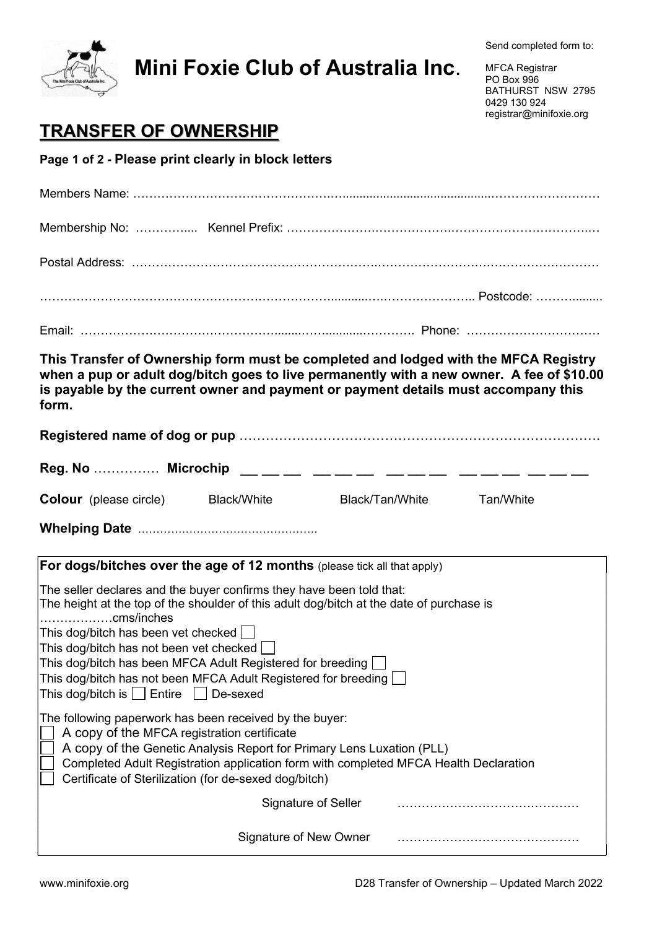

## Mini Foxie Club of Australia Inc.

MFCA Registrar PO Box 996 BATHURST NSW 2795 0429 130 924 registrar@minifoxie.org

## TRANSFER OF OWNERSHIP

Page 1 of 2 - Please print clearly in block letters

| This Transfer of Ownership form must be completed and lodged with the MFCA Registry<br>when a pup or adult dog/bitch goes to live permanently with a new owner. A fee of \$10.00<br>is payable by the current owner and payment or payment details must accompany this<br>form.                                                  |  |                 |           |  |  |  |  |
|----------------------------------------------------------------------------------------------------------------------------------------------------------------------------------------------------------------------------------------------------------------------------------------------------------------------------------|--|-----------------|-----------|--|--|--|--|
|                                                                                                                                                                                                                                                                                                                                  |  |                 |           |  |  |  |  |
| <b>Colour</b> (please circle)<br>Black/White                                                                                                                                                                                                                                                                                     |  | Black/Tan/White | Tan/White |  |  |  |  |
|                                                                                                                                                                                                                                                                                                                                  |  |                 |           |  |  |  |  |
| For dogs/bitches over the age of 12 months (please tick all that apply)                                                                                                                                                                                                                                                          |  |                 |           |  |  |  |  |
| The seller declares and the buyer confirms they have been told that:<br>The height at the top of the shoulder of this adult dog/bitch at the date of purchase is<br>$ $ cms/inches                                                                                                                                               |  |                 |           |  |  |  |  |
| This dog/bitch has been vet checked $\Box$<br>This dog/bitch has not been vet checked<br>This dog/bitch has been MFCA Adult Registered for breeding<br>This dog/bitch has not been MFCA Adult Registered for breeding $\bigsqcup$<br>This dog/bitch is $\Box$ Entire $\Box$ De-sexed                                             |  |                 |           |  |  |  |  |
| The following paperwork has been received by the buyer:<br>A copy of the MFCA registration certificate<br>A copy of the Genetic Analysis Report for Primary Lens Luxation (PLL)<br>Completed Adult Registration application form with completed MFCA Health Declaration<br>Certificate of Sterilization (for de-sexed dog/bitch) |  |                 |           |  |  |  |  |
| Signature of Seller                                                                                                                                                                                                                                                                                                              |  |                 |           |  |  |  |  |
| Signature of New Owner                                                                                                                                                                                                                                                                                                           |  |                 |           |  |  |  |  |